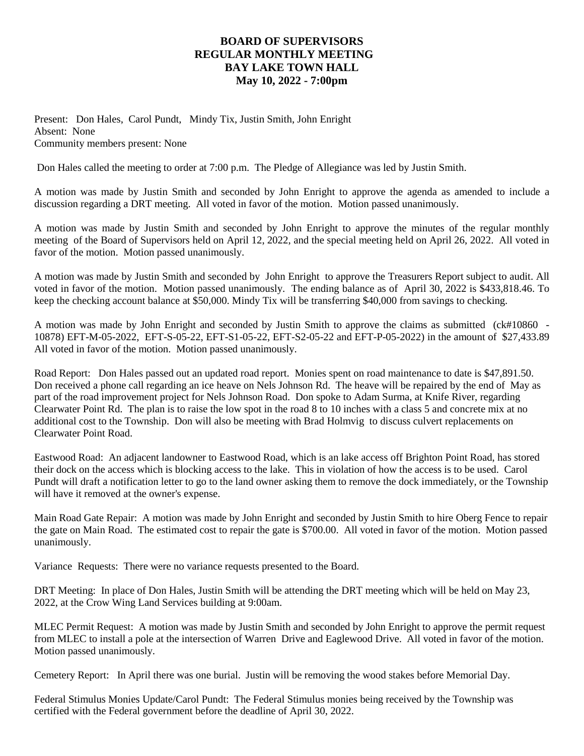## **BOARD OF SUPERVISORS REGULAR MONTHLY MEETING BAY LAKE TOWN HALL May 10, 2022 - 7:00pm**

Present: Don Hales, Carol Pundt, Mindy Tix, Justin Smith, John Enright Absent: None Community members present: None

Don Hales called the meeting to order at 7:00 p.m. The Pledge of Allegiance was led by Justin Smith.

A motion was made by Justin Smith and seconded by John Enright to approve the agenda as amended to include a discussion regarding a DRT meeting. All voted in favor of the motion. Motion passed unanimously.

A motion was made by Justin Smith and seconded by John Enright to approve the minutes of the regular monthly meeting of the Board of Supervisors held on April 12, 2022, and the special meeting held on April 26, 2022. All voted in favor of the motion. Motion passed unanimously.

A motion was made by Justin Smith and seconded by John Enright to approve the Treasurers Report subject to audit. All voted in favor of the motion. Motion passed unanimously. The ending balance as of April 30, 2022 is \$433,818.46. To keep the checking account balance at \$50,000. Mindy Tix will be transferring \$40,000 from savings to checking.

A motion was made by John Enright and seconded by Justin Smith to approve the claims as submitted (ck#10860 -10878) EFT-M-05-2022, EFT-S-05-22, EFT-S1-05-22, EFT-S2-05-22 and EFT-P-05-2022) in the amount of \$27,433.89 All voted in favor of the motion. Motion passed unanimously.

Road Report: Don Hales passed out an updated road report. Monies spent on road maintenance to date is \$47,891.50. Don received a phone call regarding an ice heave on Nels Johnson Rd. The heave will be repaired by the end of May as part of the road improvement project for Nels Johnson Road. Don spoke to Adam Surma, at Knife River, regarding Clearwater Point Rd. The plan is to raise the low spot in the road 8 to 10 inches with a class 5 and concrete mix at no additional cost to the Township. Don will also be meeting with Brad Holmvig to discuss culvert replacements on Clearwater Point Road.

Eastwood Road: An adjacent landowner to Eastwood Road, which is an lake access off Brighton Point Road, has stored their dock on the access which is blocking access to the lake. This in violation of how the access is to be used. Carol Pundt will draft a notification letter to go to the land owner asking them to remove the dock immediately, or the Township will have it removed at the owner's expense.

Main Road Gate Repair: A motion was made by John Enright and seconded by Justin Smith to hire Oberg Fence to repair the gate on Main Road. The estimated cost to repair the gate is \$700.00. All voted in favor of the motion. Motion passed unanimously.

Variance Requests: There were no variance requests presented to the Board.

DRT Meeting: In place of Don Hales, Justin Smith will be attending the DRT meeting which will be held on May 23, 2022, at the Crow Wing Land Services building at 9:00am.

MLEC Permit Request: A motion was made by Justin Smith and seconded by John Enright to approve the permit request from MLEC to install a pole at the intersection of Warren Drive and Eaglewood Drive. All voted in favor of the motion. Motion passed unanimously.

Cemetery Report: In April there was one burial. Justin will be removing the wood stakes before Memorial Day.

Federal Stimulus Monies Update/Carol Pundt: The Federal Stimulus monies being received by the Township was certified with the Federal government before the deadline of April 30, 2022.